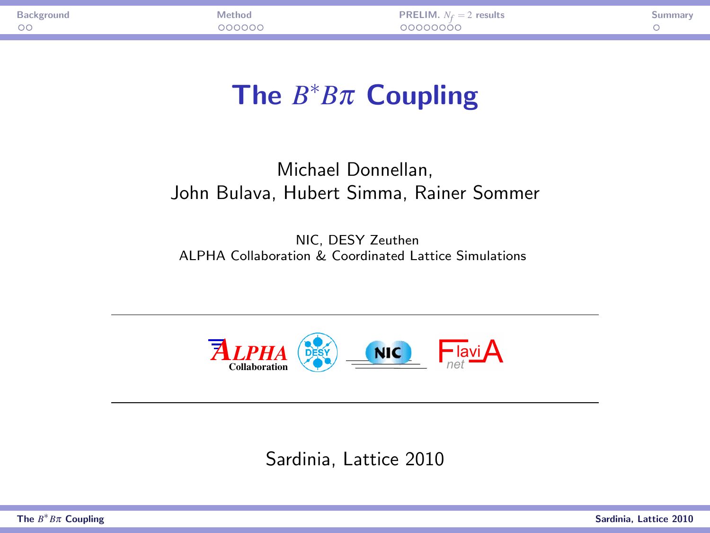| $\circ$<br><u>വാധാധ</u><br>noocoooo | Background | <i>Aethor</i> | <b>PRELIM.</b> $N_f = 2$ results | umma |
|-------------------------------------|------------|---------------|----------------------------------|------|
|                                     |            |               |                                  |      |

# The *B* <sup>∗</sup>*B*π Coupling

#### Michael Donnellan, John Bulava, Hubert Simma, Rainer Sommer

NIC, DESY Zeuthen ALPHA Collaboration & Coordinated Lattice Simulations



<span id="page-0-0"></span>Sardinia, Lattice 2010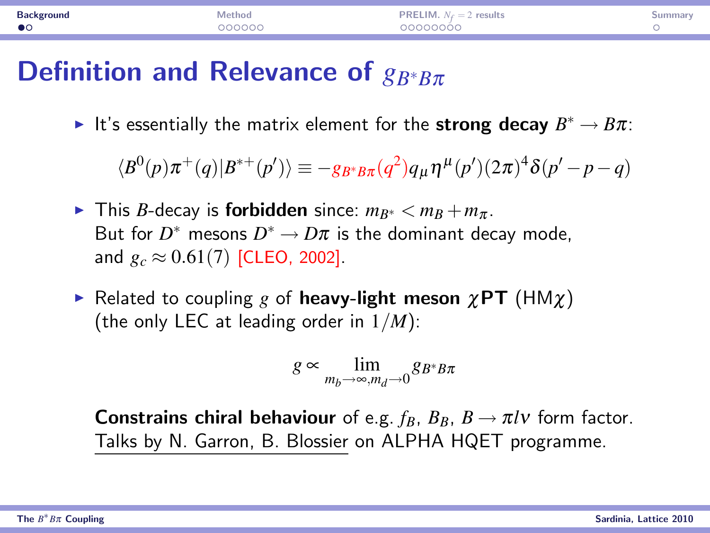| <b>Background</b> | Method | LIM.<br>results<br>PREI<br>$N_f=2$ | umma. |
|-------------------|--------|------------------------------------|-------|
| $\bullet$         | 200000 | nnnnnnn                            |       |
|                   |        |                                    |       |

### Definition and Relevance of *g<sub>B</sub>*∗*B*π

► It's essentially the matrix element for the strong decay  $B^* \to B\pi$ :

 $\langle B^{0}(p)\pi^{+}(q)|B^{*+}(p')\rangle \equiv -g_{B^{*}B\pi}(q^{2})q_{\mu}\eta^{\mu}(p')(2\pi)^{4}\delta(p'-p-q)$ 

- **►** This *B*-decay is **forbidden** since:  $m_{B^*} < m_B + m_{\pi}$ . But for  $D^*$  mesons  $D^* \to D \pi$  is the dominant decay mode, and  $g_c \approx 0.61(7)$  [CLEO, 2002].
- **F** Related to coupling *g* of heavy-light meson  $\chi$ PT (HM $\chi$ ) (the only LEC at leading order in 1/*M*):

<span id="page-1-0"></span>
$$
g \propto \lim_{m_b \to \infty, m_d \to 0} g_{B^*B\pi}
$$

**Constrains chiral behaviour** of e.g.  $f_B$ ,  $B_B$ ,  $B \rightarrow \pi l \nu$  form factor. Talks by N. Garron, B. Blossier on ALPHA HQET programme.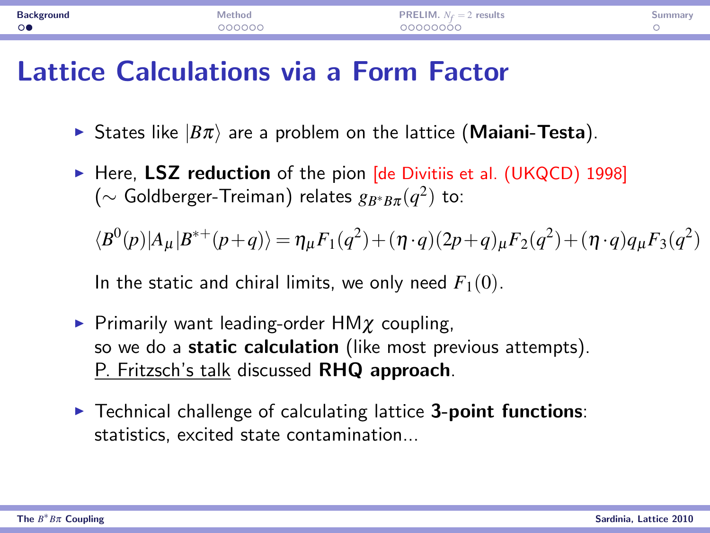| <b>Background</b>             | ummai |
|-------------------------------|-------|
| 00000000<br>$\circ$<br>200000 |       |

#### Lattice Calculations via a Form Factor

- **Figure 5 States like**  $|B\pi\rangle$  **are a problem on the lattice (Maiani-Testa).**
- $\triangleright$  Here, LSZ reduction of the pion [de Divitiis et al. (UKQCD) 1998] (∼ Goldberger-Treiman) relates *gB*∗*B*<sup>π</sup> (*q* 2 ) to:

 $\langle B^{0}(p)|A_{\mu}|B^{*+}(p+q)\rangle = \eta_{\mu}F_{1}(q^{2})+(\eta \cdot q)(2p+q)_{\mu}F_{2}(q^{2})+(\eta \cdot q)q_{\mu}F_{3}(q^{2})$ 

In the static and chiral limits, we only need  $F_1(0)$ .

- **Primarily want leading-order HM** $\chi$  coupling, so we do a static calculation (like most previous attempts). P. Fritzsch's talk discussed RHQ approach.
- $\triangleright$  Technical challenge of calculating lattice 3-point functions: statistics, excited state contamination...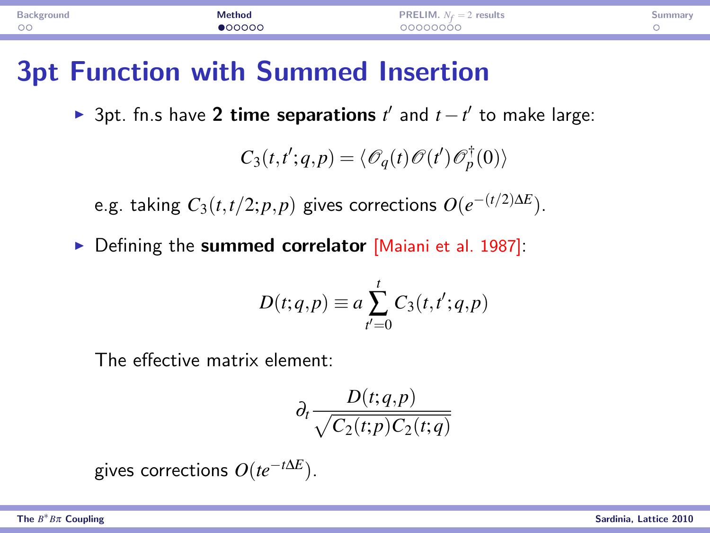| 20000000<br>$\circ$<br>maaar. | Background | Method | PRELIM.<br>$N_c=2$<br>results | summar |
|-------------------------------|------------|--------|-------------------------------|--------|
|                               |            |        |                               |        |

#### 3pt Function with Summed Insertion

▶ 3pt. fn.s have 2 time separations  $t'$  and  $t - t'$  to make large:

$$
C_3(t,t';q,p) = \langle \mathcal{O}_q(t)\mathcal{O}(t')\mathcal{O}_p^{\dagger}(0)\rangle
$$

e.g. taking  $C_3(t,t/2;p,p)$  gives corrections  $O(e^{-(t/2)\Delta E})$ .

 $\triangleright$  Defining the summed correlator [Maiani et al. 1987]:

$$
D(t;q,p) \equiv a \sum_{t'=0}^{t} C_3(t,t';q,p)
$$

The effective matrix element:

<span id="page-3-0"></span>
$$
\partial_t \frac{D(t;q,p)}{\sqrt{C_2(t;p)C_2(t;q)}}
$$

gives corrections *O*(*te*−*t*∆*<sup>E</sup>* ).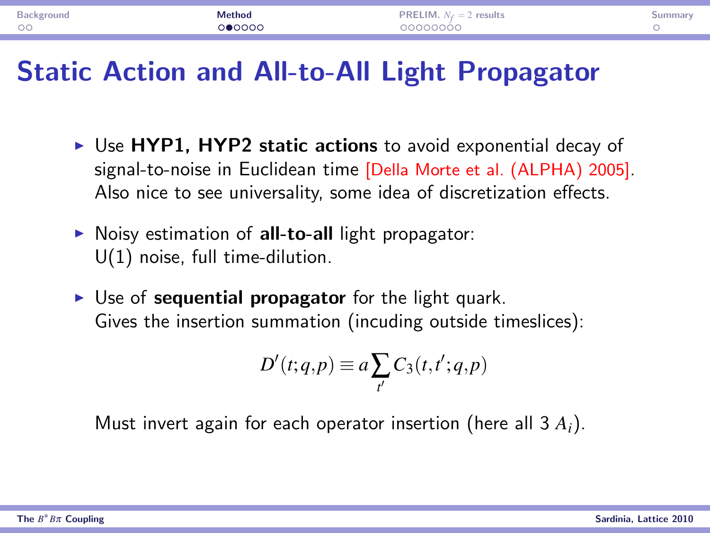| Background | Method | <b>PRELIM.</b> $N_f = 2$ results | umma |
|------------|--------|----------------------------------|------|
| $\circ$    | ೧●೦೦೦೦ | วดดดดดดด                         |      |
|            |        |                                  |      |

#### Static Action and All-to-All Light Propagator

- $\triangleright$  Use HYP1, HYP2 static actions to avoid exponential decay of signal-to-noise in Euclidean time [Della Morte et al. (ALPHA) 2005]. Also nice to see universality, some idea of discretization effects.
- $\triangleright$  Noisy estimation of all-to-all light propagator: U(1) noise, full time-dilution.
- $\triangleright$  Use of sequential propagator for the light quark. Gives the insertion summation (incuding outside timeslices):

$$
D'(t;q,p) \equiv a \sum_{t'} C_3(t,t';q,p)
$$

Must invert again for each operator insertion (here all 3 *Ai*).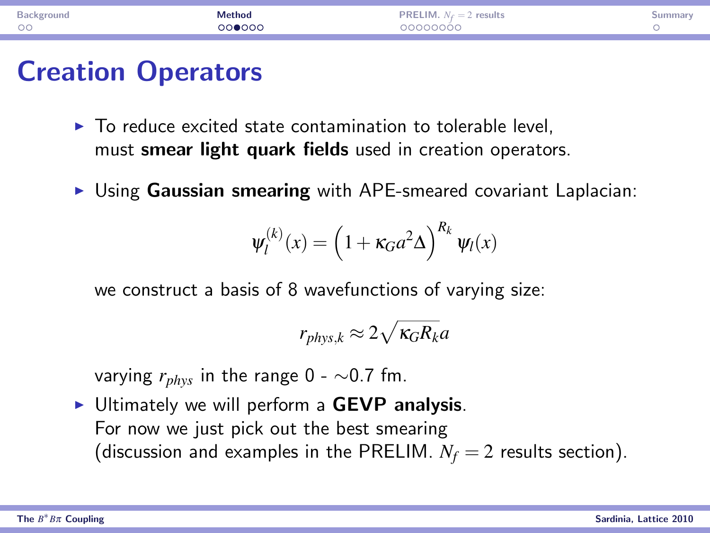| $\circ$<br>ാറ∩െ∩<br><u>IOOOOOOC</u> | <b>Backgroups</b> | Method | -IM<br>results<br>PRE'<br>$N_{\mathcal{L}} =$<br>. | umma |
|-------------------------------------|-------------------|--------|----------------------------------------------------|------|
|                                     |                   |        |                                                    |      |

#### Creation Operators

- $\blacktriangleright$  To reduce excited state contamination to tolerable level. must smear light quark fields used in creation operators.
- $\triangleright$  Using Gaussian smearing with APE-smeared covariant Laplacian:

$$
\psi_l^{(k)}(x) = \left(1 + \kappa_G a^2 \Delta\right)^{R_k} \psi_l(x)
$$

we construct a basis of 8 wavefunctions of varying size:

$$
r_{phys,k} \approx 2\sqrt{\kappa_G R_k} a
$$

varying *rphys* in the range 0 - ∼0.7 fm.

▶ Ultimately we will perform a GEVP analysis. For now we just pick out the best smearing (discussion and examples in the PRELIM.  $N_f = 2$  results section).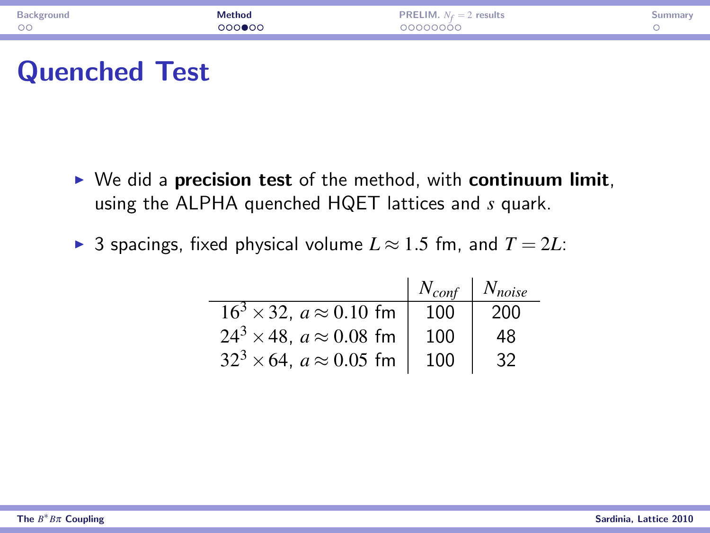| Background<br>$\circ$ | Aethod | results<br>.IM.<br>PREL<br>$N_f=2$<br>noooooo |  |
|-----------------------|--------|-----------------------------------------------|--|
|                       |        |                                               |  |

#### Quenched Test

- $\triangleright$  We did a precision test of the method, with continuum limit, using the ALPHA quenched HQET lattices and *s* quark.
- ▶ 3 spacings, fixed physical volume  $L \approx 1.5$  fm, and  $T = 2L$ :

|                                        | $N_{conf}$   $N_{noise}$ |     |
|----------------------------------------|--------------------------|-----|
| $16^3 \times 32$ , $a \approx 0.10$ fm | 100                      | 200 |
| $24^3 \times 48$ , $a \approx 0.08$ fm | 100                      | 48  |
| $32^3 \times 64$ , $a \approx 0.05$ fm | 100                      |     |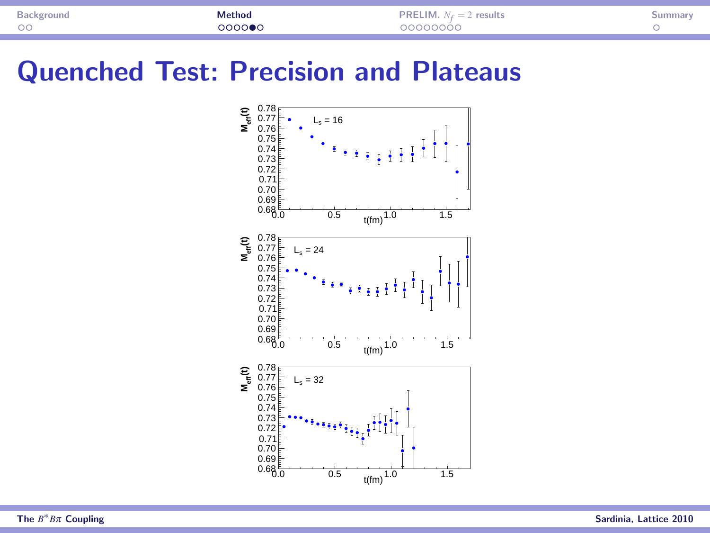| Backgroune<br><b>During</b> | Method | results<br>$-$ | ummar |
|-----------------------------|--------|----------------|-------|
| $\circ$                     | റററ≘∈  | <u>monnono</u> |       |
|                             |        |                |       |

#### Quenched Test: Precision and Plateaus

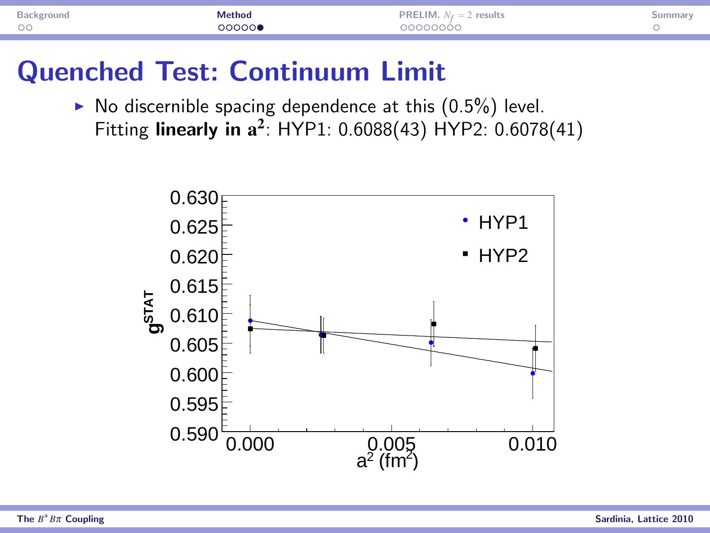| Background | Method | ₹HM.<br>results<br>PREI<br>$N_f = 2$ | summar |
|------------|--------|--------------------------------------|--------|
| $\circ$    | ാറററല  | noooooo                              |        |
|            |        |                                      |        |

#### Quenched Test: Continuum Limit

 $\triangleright$  No discernible spacing dependence at this  $(0.5\%)$  level. Fitting linearly in  $a^2$ : HYP1: 0.6088(43) HYP2: 0.6078(41)

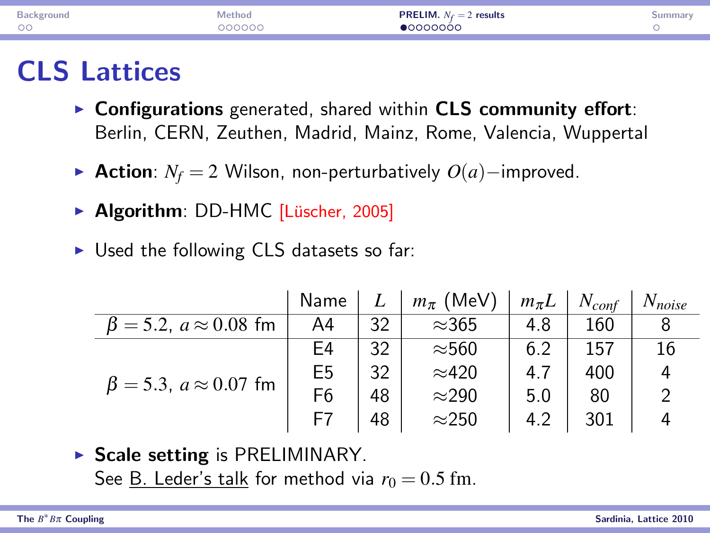| Background<br>$\circ$ | 1ethor<br><u>വാധാധ</u> | ` results<br>PREI IM-<br>$N_{\rm c} = 2$<br>.<br>innooch i | mma |
|-----------------------|------------------------|------------------------------------------------------------|-----|
|                       |                        |                                                            |     |

#### CLS Lattices

- $\triangleright$  Configurations generated, shared within CLS community effort: Berlin, CERN, Zeuthen, Madrid, Mainz, Rome, Valencia, Wuppertal
- **► Action**:  $N_f = 2$  Wilson, non-perturbatively  $O(a)$ –improved.
- ▶ Algorithm: DD-HMC [Lüscher, 2005]
- $\triangleright$  Used the following CLS datasets so far:

|                                     | Name           | L  | $m_{\pi}$ (MeV) | $m_{\pi}L$ | $N_{\text{conf}}$ | $N_{noise}$ |
|-------------------------------------|----------------|----|-----------------|------------|-------------------|-------------|
| $\beta = 5.2$ , $a \approx 0.08$ fm | A4             | 32 | $\approx$ 365   | 4.8        | 160               |             |
|                                     | E4             | 32 | $\approx$ 560   | 6.2        | 157               | 16          |
| $\beta = 5.3$ , $a \approx 0.07$ fm | E <sub>5</sub> | 32 | $\approx$ 420   | 4.7        | 400               | 4           |
|                                     | F <sub>6</sub> | 48 | $\approx$ 290   | 5.0        | 80                |             |
|                                     | F7             | 48 | $\approx$ 250   | 4.2        | 301               |             |

 $\triangleright$  Scale setting is PRELIMINARY.

<span id="page-9-0"></span>See B. Leder's talk for method via  $r_0 = 0.5$  fm.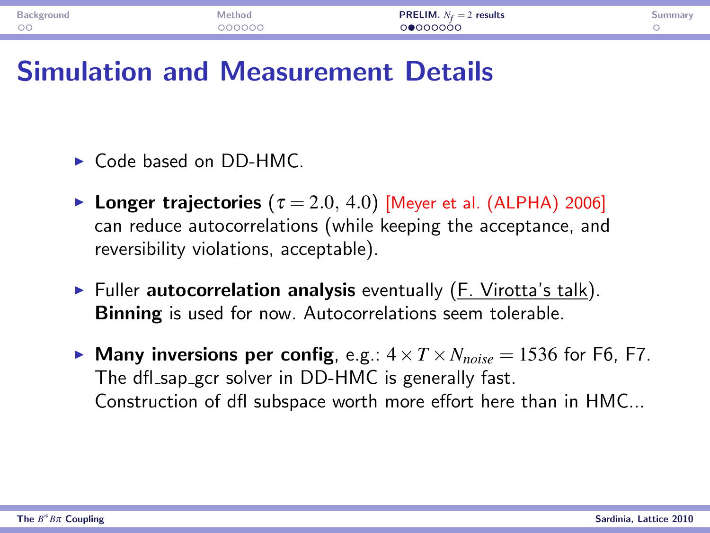| Backgrouno          | lethod | PRELIM.<br>` results<br>$N_c = 2$<br>. | summar. |
|---------------------|--------|----------------------------------------|---------|
| $\sim$ $\sim$<br>UU | nnnnr  | <b>3000000</b>                         |         |

#### Simulation and Measurement Details

- $\triangleright$  Code based on DD-HMC.
- **Longer trajectories** ( $\tau = 2.0, 4.0$ ) [Meyer et al. (ALPHA) 2006] can reduce autocorrelations (while keeping the acceptance, and reversibility violations, acceptable).
- $\triangleright$  Fuller autocorrelation analysis eventually (F. Virotta's talk). Binning is used for now. Autocorrelations seem tolerable.
- **Many inversions per config,** e.g.:  $4 \times T \times N_{noise} = 1536$  for F6, F7. The dfl\_sap\_gcr solver in DD-HMC is generally fast. Construction of dfl subspace worth more effort here than in HMC...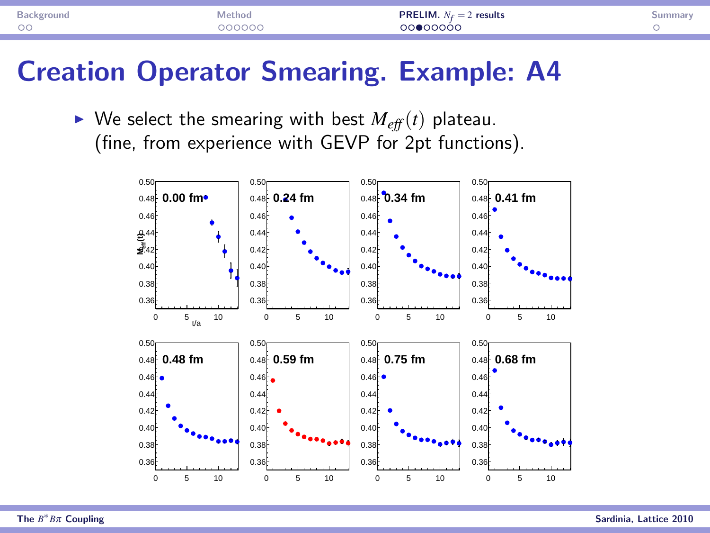| Background<br>$\circ$ | vlethod<br><u> വററററ</u> | <b>PRELIM.</b> $N_f = ?$<br>2 results<br>.<br>00000 |  |
|-----------------------|--------------------------|-----------------------------------------------------|--|
|                       |                          |                                                     |  |

#### Creation Operator Smearing. Example: A4

 $\triangleright$  We select the smearing with best  $M_{\text{eff}}(t)$  plateau. (fine, from experience with GEVP for 2pt functions).

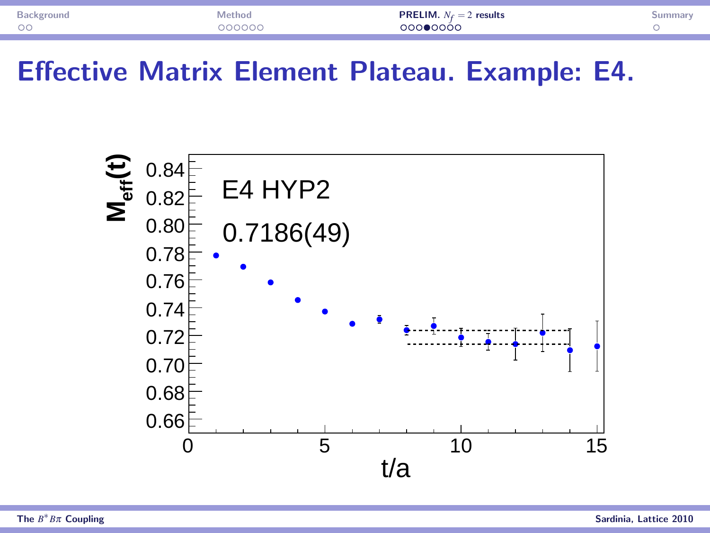| $\circ$<br>ാററ⊜റററ്റ<br>nnnnnr | Backgroung | <b><i><u>Aethod</u></i></b> | <b>PRELIM.</b> $N_f = 2$ results<br>. | วนmmar |
|--------------------------------|------------|-----------------------------|---------------------------------------|--------|
|                                |            |                             |                                       |        |

Effective Matrix Element Plateau. Example: E4.

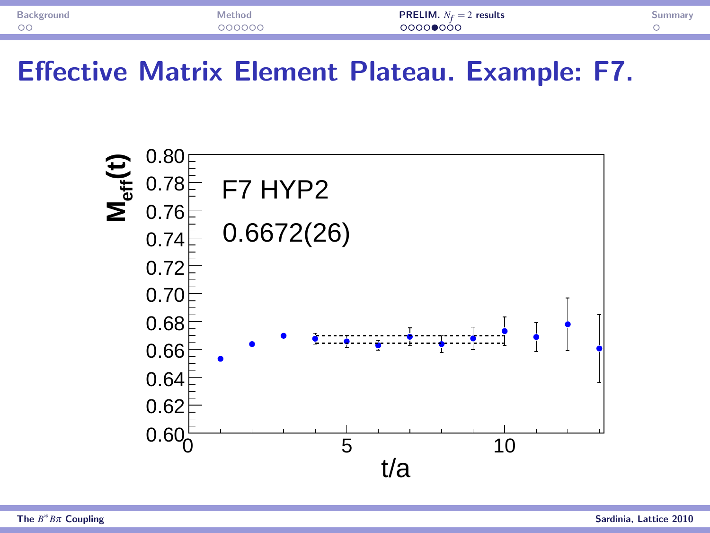| $\circ$<br>ാററാ≘ററ്റ<br>nnnnnr | Backgroung | <b><i><u>Aethod</u></i></b> | <b>PRELIM.</b> $N_f = 2$ results<br>. | วนmmar |
|--------------------------------|------------|-----------------------------|---------------------------------------|--------|
|                                |            |                             |                                       |        |

Effective Matrix Element Plateau. Example: F7.

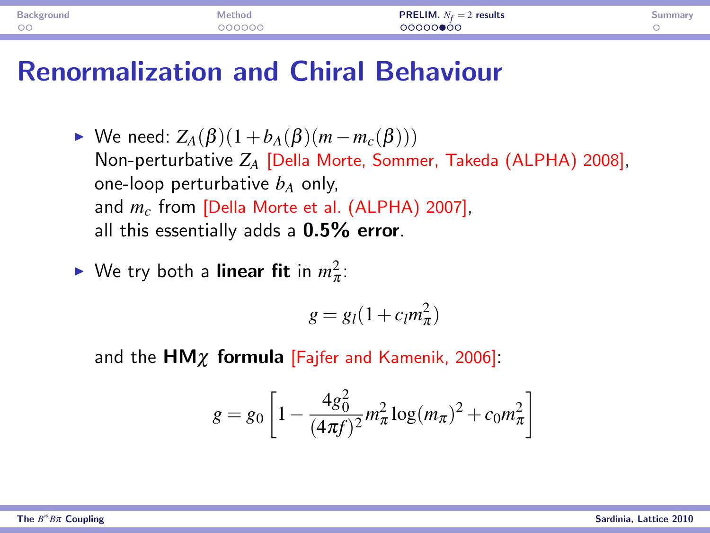| $\circ$<br>nnnnnr<br>ററററ⊜ററ | Background | Method | <b>PRELIM.</b> $N_f = 2$ results<br>. | չսmmar |
|------------------------------|------------|--------|---------------------------------------|--------|
|                              |            |        |                                       |        |

#### Renormalization and Chiral Behaviour

 $\triangleright$  We need:  $Z_A(\beta)(1+b_A(\beta)(m-m_c(\beta)))$ Non-perturbative *Z<sup>A</sup>* [Della Morte, Sommer, Takeda (ALPHA) 2008], one-loop perturbative  $b_A$  only, and *m<sup>c</sup>* from [Della Morte et al. (ALPHA) 2007], all this essentially adds a  $0.5\%$  error.

• We try both a **linear fit** in 
$$
m_{\pi}^2
$$
:

$$
g = g_l(1 + c_l m_\pi^2)
$$

and the  $HM\chi$  formula [Fajfer and Kamenik, 2006]:

$$
g = g_0 \left[ 1 - \frac{4g_0^2}{(4\pi f)^2} m_\pi^2 \log(m_\pi)^2 + c_0 m_\pi^2 \right]
$$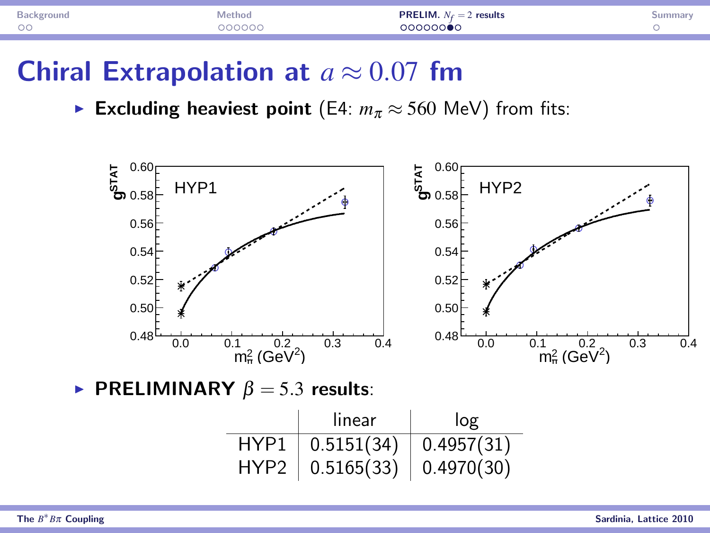| $\circ$ | ethor.<br>.<br>2000ac | results<br>$N_{\rm c} = 2$<br><b>IM</b><br>.<br>,,,,,,, <b>,</b> | Summa <sub>rs</sub> |
|---------|-----------------------|------------------------------------------------------------------|---------------------|
|         |                       |                                                                  |                     |

#### Chiral Extrapolation at  $a \approx 0.07$  fm

**Excluding heaviest point** (E4:  $m_{\pi} \approx 560$  MeV) from fits:



**PRELIMINARY**  $\beta = 5.3$  results:

|                  | linear     | log        |
|------------------|------------|------------|
| HYP1             | 0.5151(34) | 0.4957(31) |
| HYP <sub>2</sub> | 0.5165(33) | 0.4970(30) |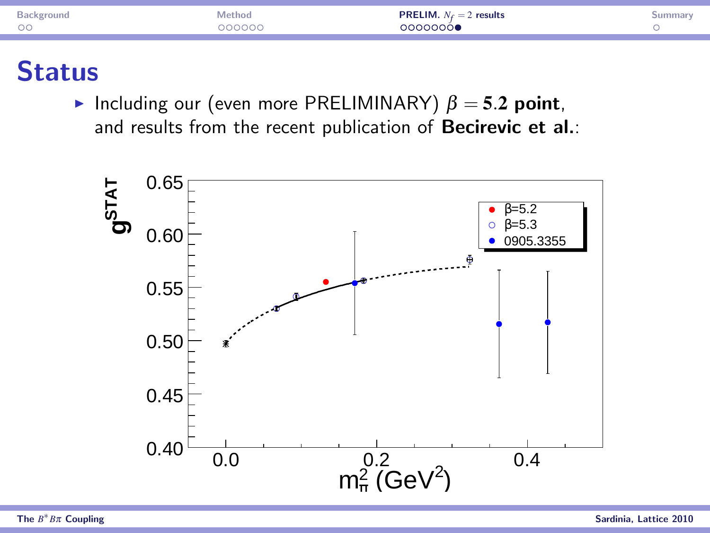| 250<br>$\circ$ | ethor<br>nnnnr | results<br>$\overline{a}$<br>' IM.<br>.<br>100000 <b>1</b> |  |
|----------------|----------------|------------------------------------------------------------|--|
|                |                |                                                            |  |

#### **Status**

Including our (even more PRELIMINARY)  $\beta = 5.2$  point, and results from the recent publication of **Becirevic et al.:**